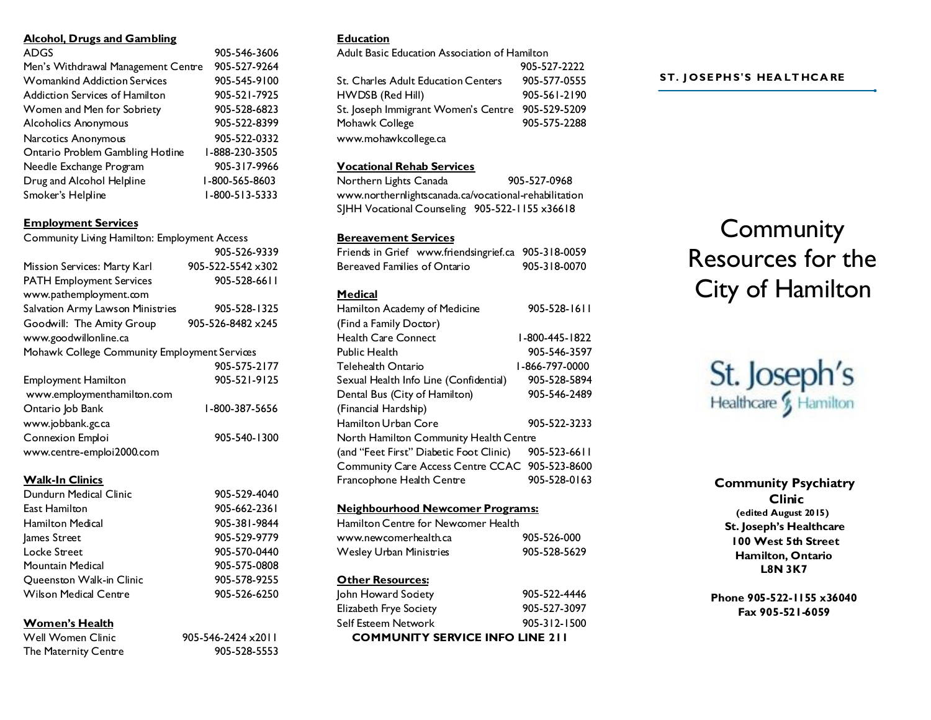#### **Alcohol, Drugs and Gambling**

| ADGS                                | 905-546-3606   |
|-------------------------------------|----------------|
|                                     |                |
| Men's Withdrawal Management Centre  | 905-527-9264   |
| <b>Womankind Addiction Services</b> | 905-545-9100   |
| Addiction Services of Hamilton      | 905-521-7925   |
| Women and Men for Sobriety          | 905-528-6823   |
| <b>Alcoholics Anonymous</b>         | 905-522-8399   |
| Narcotics Anonymous                 | 905-522-0332   |
| Ontario Problem Gambling Hotline    | 1-888-230-3505 |
| Needle Exchange Program             | 905-317-9966   |
| Drug and Alcohol Helpline           | I-800-565-8603 |
| Smoker's Helpline                   | 1-800-513-5333 |
|                                     |                |

# **Employment Services**

| <b>Community Living Hamilton: Employment Access</b> |                   |
|-----------------------------------------------------|-------------------|
|                                                     | 905-526-9339      |
| Mission Services: Marty Karl                        | 905-522-5542 ×302 |
| <b>PATH Employment Services</b>                     | 905-528-6611      |
| www.pathemployment.com                              |                   |
| Salvation Army Lawson Ministries                    | 905-528-1325      |
| Goodwill: The Amity Group                           | 905-526-8482 x245 |
| www.goodwillonline.ca                               |                   |
| Mohawk College Community Employment Services        |                   |
|                                                     | 905-575-2177      |
| Employment Hamilton                                 | 905-521-9125      |
| www.employmenthamilton.com                          |                   |
| Ontario Job Bank                                    | 1-800-387-5656    |
| www.jobbank.gc.ca                                   |                   |
| Connexion Emploi                                    | 905-540-1300      |
| www.centre-emploi2000.com                           |                   |

#### **Walk-In Clinics**

| Dundurn Medical Clinic   | 905-529-4040 |
|--------------------------|--------------|
| East Hamilton            | 905-662-2361 |
| Hamilton Medical         | 905-381-9844 |
| lames Street             | 905-529-9779 |
| Locke Street             | 905-570-0440 |
| Mountain Medical         | 905-575-0808 |
| Queenston Walk-in Clinic | 905-578-9255 |
| Wilson Medical Centre    | 905-526-6250 |
|                          |              |

# **Women's Health**

| Well Women Clinic    | $905 - 546 - 2424 \times 2011$ |
|----------------------|--------------------------------|
| The Maternity Centre | 905-528-5553                   |

# **Education**

Adult Basic Education Association of Hamilton

|                                     | 905-527-2222 |
|-------------------------------------|--------------|
| St. Charles Adult Education Centers | 905-577-0555 |
| HWDSB (Red Hill)                    | 905-561-2190 |
| St. Joseph Immigrant Women's Centre | 905-529-5209 |
| Mohawk College                      | 905-575-2288 |
| www.mohawkcollege.ca                |              |

#### **Vocational Rehab Services**

Northern Lights Canada 905-527-0968 www.northernlightscanada.ca/vocational-rehabilitation SJHH Vocational Counseling 905-522-1155 x36618

# **Bereavement Services**

| Friends in Grief www.friendsingrief.ca         | 905-318-0059   |
|------------------------------------------------|----------------|
| Bereaved Families of Ontario                   | 905-318-0070   |
|                                                |                |
| Medical                                        |                |
| Hamilton Academy of Medicine                   | 905-528-1611   |
| (Find a Family Doctor)                         |                |
| <b>Health Care Connect</b>                     | 1-800-445-1822 |
| <b>Public Health</b>                           | 905-546-3597   |
| Telehealth Ontario                             | 1-866-797-0000 |
| Sexual Health Info Line (Confidential)         | 905-528-5894   |
| Dental Bus (City of Hamilton)                  | 905-546-2489   |
| (Financial Hardship)                           |                |
| Hamilton Urban Core                            | 905-522-3233   |
| North Hamilton Community Health Centre         |                |
| (and "Feet First" Diabetic Foot Clinic)        | 905-523-6611   |
| Community Care Access Centre CCAC 905-523-8600 |                |
| Francophone Health Centre                      | 905-528-0163   |
|                                                |                |

# **Neighbourhood Newcomer Programs:**

| Other Resources:                    |              |
|-------------------------------------|--------------|
| Wesley Urban Ministries             | 905-528-5629 |
| www.newcomerhealth.ca               | 905-526-000  |
| Hamilton Centre for Newcomer Health |              |

| <b>COMMUNITY SERVICE INFO LINE 211</b> |                    |  |
|----------------------------------------|--------------------|--|
| Self Esteem Network                    | $905 - 312 - 1500$ |  |
| Elizabeth Frye Society                 | 905-527-3097       |  |
| John Howard Society                    | 905-522-4446       |  |

#### **ST. J OSE PH S'S HEA LT HCA RE**

# **Community** Resources for the City of Hamilton



**Community Psychiatry Clinic (edited August 2015) St. Joseph's Healthcare 100 West 5th Street Hamilton, Ontario L8N 3K7**

**Phone 905-522-1155 x36040 Fax 905-521-6059**